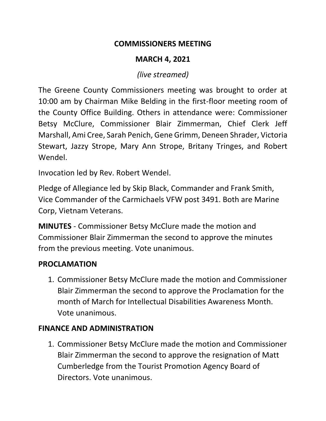#### **COMMISSIONERS MEETING**

### **MARCH 4, 2021**

### *(live streamed)*

The Greene County Commissioners meeting was brought to order at 10:00 am by Chairman Mike Belding in the first-floor meeting room of the County Office Building. Others in attendance were: Commissioner Betsy McClure, Commissioner Blair Zimmerman, Chief Clerk Jeff Marshall, Ami Cree, Sarah Penich, Gene Grimm, Deneen Shrader, Victoria Stewart, Jazzy Strope, Mary Ann Strope, Britany Tringes, and Robert Wendel.

Invocation led by Rev. Robert Wendel.

Pledge of Allegiance led by Skip Black, Commander and Frank Smith, Vice Commander of the Carmichaels VFW post 3491. Both are Marine Corp, Vietnam Veterans.

**MINUTES** - Commissioner Betsy McClure made the motion and Commissioner Blair Zimmerman the second to approve the minutes from the previous meeting. Vote unanimous.

## **PROCLAMATION**

1. Commissioner Betsy McClure made the motion and Commissioner Blair Zimmerman the second to approve the Proclamation for the month of March for Intellectual Disabilities Awareness Month. Vote unanimous.

### **FINANCE AND ADMINISTRATION**

1. Commissioner Betsy McClure made the motion and Commissioner Blair Zimmerman the second to approve the resignation of Matt Cumberledge from the Tourist Promotion Agency Board of Directors. Vote unanimous.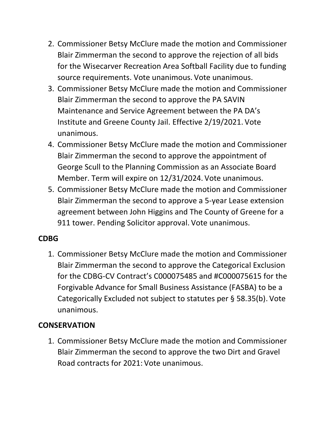- 2. Commissioner Betsy McClure made the motion and Commissioner Blair Zimmerman the second to approve the rejection of all bids for the Wisecarver Recreation Area Softball Facility due to funding source requirements. Vote unanimous. Vote unanimous.
- 3. Commissioner Betsy McClure made the motion and Commissioner Blair Zimmerman the second to approve the PA SAVIN Maintenance and Service Agreement between the PA DA's Institute and Greene County Jail. Effective 2/19/2021. Vote unanimous.
- 4. Commissioner Betsy McClure made the motion and Commissioner Blair Zimmerman the second to approve the appointment of George Scull to the Planning Commission as an Associate Board Member. Term will expire on 12/31/2024. Vote unanimous.
- 5. Commissioner Betsy McClure made the motion and Commissioner Blair Zimmerman the second to approve a 5-year Lease extension agreement between John Higgins and The County of Greene for a 911 tower. Pending Solicitor approval. Vote unanimous.

## **CDBG**

1. Commissioner Betsy McClure made the motion and Commissioner Blair Zimmerman the second to approve the Categorical Exclusion for the CDBG-CV Contract's C000075485 and #C000075615 for the Forgivable Advance for Small Business Assistance (FASBA) to be a Categorically Excluded not subject to statutes per § 58.35(b). Vote unanimous.

### **CONSERVATION**

1. Commissioner Betsy McClure made the motion and Commissioner Blair Zimmerman the second to approve the two Dirt and Gravel Road contracts for 2021: Vote unanimous.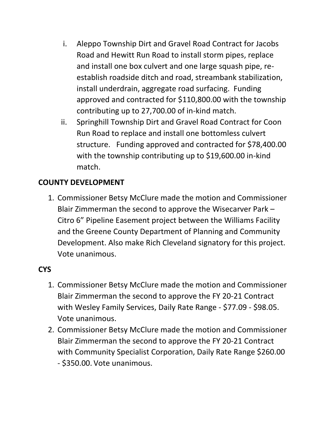- i. Aleppo Township Dirt and Gravel Road Contract for Jacobs Road and Hewitt Run Road to install storm pipes, replace and install one box culvert and one large squash pipe, reestablish roadside ditch and road, streambank stabilization, install underdrain, aggregate road surfacing. Funding approved and contracted for \$110,800.00 with the township contributing up to 27,700.00 of in-kind match.
- ii. Springhill Township Dirt and Gravel Road Contract for Coon Run Road to replace and install one bottomless culvert structure. Funding approved and contracted for \$78,400.00 with the township contributing up to \$19,600.00 in-kind match.

# **COUNTY DEVELOPMENT**

1. Commissioner Betsy McClure made the motion and Commissioner Blair Zimmerman the second to approve the Wisecarver Park – Citro 6" Pipeline Easement project between the Williams Facility and the Greene County Department of Planning and Community Development. Also make Rich Cleveland signatory for this project. Vote unanimous.

# **CYS**

- 1. Commissioner Betsy McClure made the motion and Commissioner Blair Zimmerman the second to approve the FY 20-21 Contract with Wesley Family Services, Daily Rate Range - \$77.09 - \$98.05. Vote unanimous.
- 2. Commissioner Betsy McClure made the motion and Commissioner Blair Zimmerman the second to approve the FY 20-21 Contract with Community Specialist Corporation, Daily Rate Range \$260.00 - \$350.00. Vote unanimous.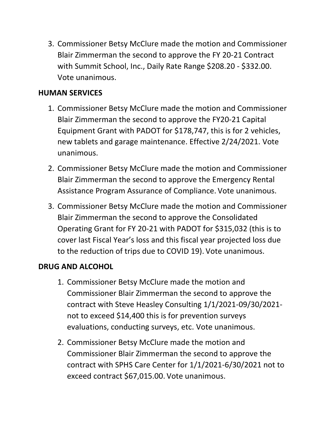3. Commissioner Betsy McClure made the motion and Commissioner Blair Zimmerman the second to approve the FY 20-21 Contract with Summit School, Inc., Daily Rate Range \$208.20 - \$332.00. Vote unanimous.

### **HUMAN SERVICES**

- 1. Commissioner Betsy McClure made the motion and Commissioner Blair Zimmerman the second to approve the FY20-21 Capital Equipment Grant with PADOT for \$178,747, this is for 2 vehicles, new tablets and garage maintenance. Effective 2/24/2021. Vote unanimous.
- 2. Commissioner Betsy McClure made the motion and Commissioner Blair Zimmerman the second to approve the Emergency Rental Assistance Program Assurance of Compliance. Vote unanimous.
- 3. Commissioner Betsy McClure made the motion and Commissioner Blair Zimmerman the second to approve the Consolidated Operating Grant for FY 20-21 with PADOT for \$315,032 (this is to cover last Fiscal Year's loss and this fiscal year projected loss due to the reduction of trips due to COVID 19). Vote unanimous.

## **DRUG AND ALCOHOL**

- 1. Commissioner Betsy McClure made the motion and Commissioner Blair Zimmerman the second to approve the contract with Steve Heasley Consulting 1/1/2021-09/30/2021 not to exceed \$14,400 this is for prevention surveys evaluations, conducting surveys, etc. Vote unanimous.
- 2. Commissioner Betsy McClure made the motion and Commissioner Blair Zimmerman the second to approve the contract with SPHS Care Center for 1/1/2021-6/30/2021 not to exceed contract \$67,015.00. Vote unanimous.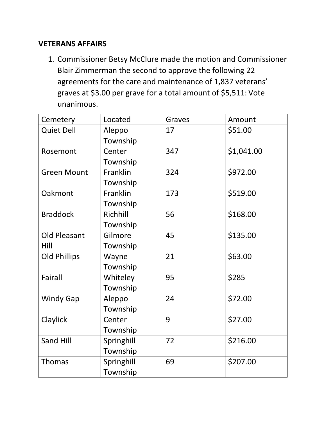#### **VETERANS AFFAIRS**

1. Commissioner Betsy McClure made the motion and Commissioner Blair Zimmerman the second to approve the following 22 agreements for the care and maintenance of 1,837 veterans' graves at \$3.00 per grave for a total amount of \$5,511: Vote unanimous.

| Cemetery            | Located    | Graves | Amount     |
|---------------------|------------|--------|------------|
| <b>Quiet Dell</b>   | Aleppo     | 17     | \$51.00    |
|                     | Township   |        |            |
| Rosemont            | Center     | 347    | \$1,041.00 |
|                     | Township   |        |            |
| <b>Green Mount</b>  | Franklin   | 324    | \$972.00   |
|                     | Township   |        |            |
| Oakmont             | Franklin   | 173    | \$519.00   |
|                     | Township   |        |            |
| <b>Braddock</b>     | Richhill   | 56     | \$168.00   |
|                     | Township   |        |            |
| Old Pleasant        | Gilmore    | 45     | \$135.00   |
| Hill                | Township   |        |            |
| <b>Old Phillips</b> | Wayne      | 21     | \$63.00    |
|                     | Township   |        |            |
| Fairall             | Whiteley   | 95     | \$285      |
|                     | Township   |        |            |
| <b>Windy Gap</b>    | Aleppo     | 24     | \$72.00    |
|                     | Township   |        |            |
| Claylick            | Center     | 9      | \$27.00    |
|                     | Township   |        |            |
| <b>Sand Hill</b>    | Springhill | 72     | \$216.00   |
|                     | Township   |        |            |
| <b>Thomas</b>       | Springhill | 69     | \$207.00   |
|                     | Township   |        |            |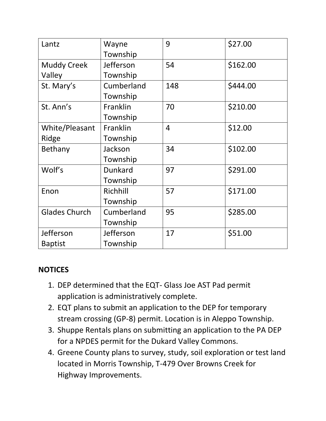| Lantz                        | Wayne<br>Township      | 9              | \$27.00  |
|------------------------------|------------------------|----------------|----------|
| <b>Muddy Creek</b><br>Valley | Jefferson<br>Township  | 54             | \$162.00 |
| St. Mary's                   | Cumberland<br>Township | 148            | \$444.00 |
| St. Ann's                    | Franklin<br>Township   | 70             | \$210.00 |
| White/Pleasant<br>Ridge      | Franklin<br>Township   | $\overline{4}$ | \$12.00  |
| Bethany                      | Jackson<br>Township    | 34             | \$102.00 |
| Wolf's                       | Dunkard<br>Township    | 97             | \$291.00 |
| Enon                         | Richhill<br>Township   | 57             | \$171.00 |
| <b>Glades Church</b>         | Cumberland<br>Township | 95             | \$285.00 |
| Jefferson<br><b>Baptist</b>  | Jefferson<br>Township  | 17             | \$51.00  |

## **NOTICES**

- 1. DEP determined that the EQT- Glass Joe AST Pad permit application is administratively complete.
- 2. EQT plans to submit an application to the DEP for temporary stream crossing (GP-8) permit. Location is in Aleppo Township.
- 3. Shuppe Rentals plans on submitting an application to the PA DEP for a NPDES permit for the Dukard Valley Commons.
- 4. Greene County plans to survey, study, soil exploration or test land located in Morris Township, T-479 Over Browns Creek for Highway Improvements.